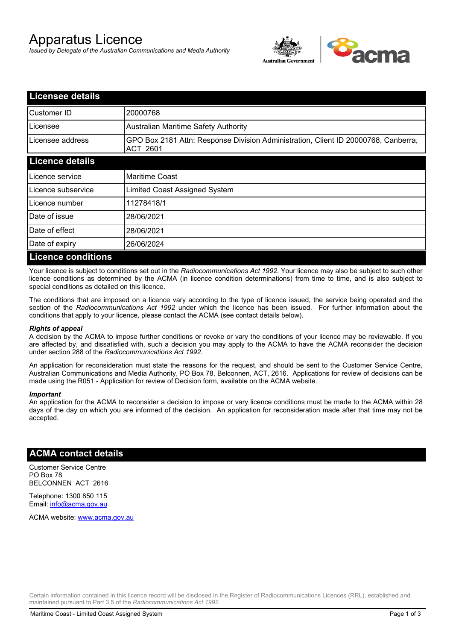# Apparatus Licence

*Issued by Delegate of the Australian Communications and Media Authority*



| <b>Licensee details</b>   |                                                                                                       |
|---------------------------|-------------------------------------------------------------------------------------------------------|
| Customer ID               | 20000768                                                                                              |
| Licensee                  | <b>Australian Maritime Safety Authority</b>                                                           |
| Licensee address          | GPO Box 2181 Attn: Response Division Administration, Client ID 20000768, Canberra,<br><b>ACT 2601</b> |
| <b>Licence details</b>    |                                                                                                       |
| Licence service           | <b>Maritime Coast</b>                                                                                 |
| Licence subservice        | Limited Coast Assigned System                                                                         |
| Licence number            | 11278418/1                                                                                            |
| Date of issue             | 28/06/2021                                                                                            |
| Date of effect            | 28/06/2021                                                                                            |
| Date of expiry            | 26/06/2024                                                                                            |
| <b>Licence conditions</b> |                                                                                                       |

Your licence is subject to conditions set out in the *Radiocommunications Act 1992*. Your licence may also be subject to such other licence conditions as determined by the ACMA (in licence condition determinations) from time to time, and is also subject to special conditions as detailed on this licence.

The conditions that are imposed on a licence vary according to the type of licence issued, the service being operated and the section of the *Radiocommunications Act 1992* under which the licence has been issued. For further information about the conditions that apply to your licence, please contact the ACMA (see contact details below).

#### *Rights of appeal*

A decision by the ACMA to impose further conditions or revoke or vary the conditions of your licence may be reviewable. If you are affected by, and dissatisfied with, such a decision you may apply to the ACMA to have the ACMA reconsider the decision under section 288 of the *Radiocommunications Act 1992*.

An application for reconsideration must state the reasons for the request, and should be sent to the Customer Service Centre, Australian Communications and Media Authority, PO Box 78, Belconnen, ACT, 2616. Applications for review of decisions can be made using the R051 - Application for review of Decision form, available on the ACMA website.

#### *Important*

An application for the ACMA to reconsider a decision to impose or vary licence conditions must be made to the ACMA within 28 days of the day on which you are informed of the decision. An application for reconsideration made after that time may not be accepted.

### **ACMA contact details**

Customer Service Centre PO Box 78 BELCONNEN ACT 2616

Telephone: 1300 850 115 Email: info@acma.gov.au

ACMA website: www.acma.gov.au

Certain information contained in this licence record will be disclosed in the Register of Radiocommunications Licences (RRL), established and maintained pursuant to Part 3.5 of the *Radiocommunications Act 1992.*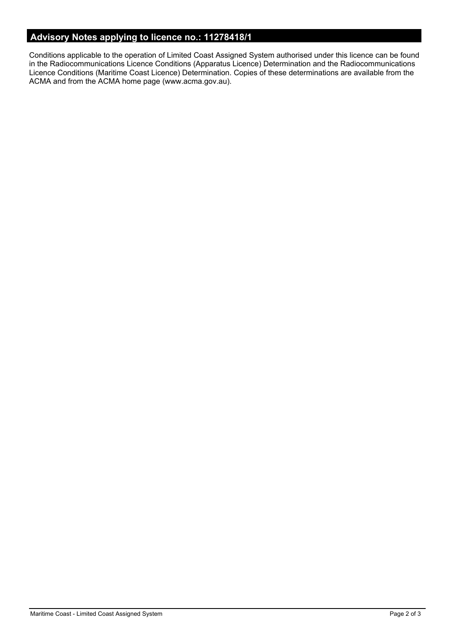# **Advisory Notes applying to licence no.: 11278418/1**

Conditions applicable to the operation of Limited Coast Assigned System authorised under this licence can be found in the Radiocommunications Licence Conditions (Apparatus Licence) Determination and the Radiocommunications Licence Conditions (Maritime Coast Licence) Determination. Copies of these determinations are available from the ACMA and from the ACMA home page (www.acma.gov.au).